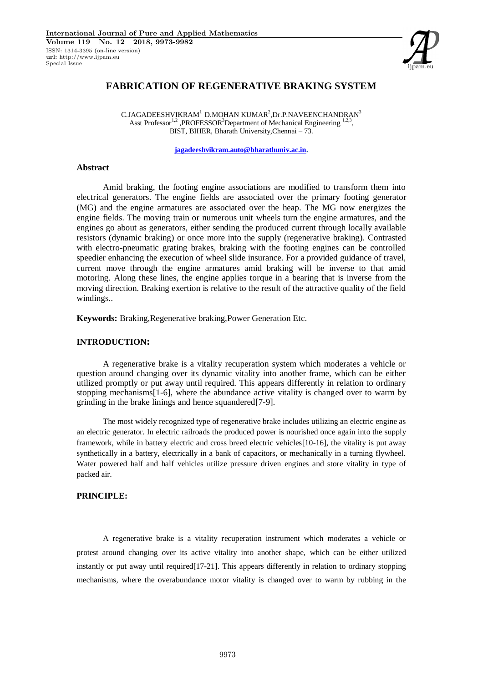

# **FABRICATION OF REGENERATIVE BRAKING SYSTEM**

 $\rm C.JAGADEESHVIKRAM^{1}$  D.MOHAN KUMAR<sup>2</sup>,Dr.P.NAVEENCHANDRAN $^{3}$ Asst Professor<sup>1,2</sup>, PROFESSOR<sup>3</sup>Department of Mechanical Engineering  $1,2,3$ , BIST, BIHER, Bharath University,Chennai – 73.

**jagadeeshvikram.auto@bharathuniv.ac.in.**

#### **Abstract**

Amid braking, the footing engine associations are modified to transform them into electrical generators. The engine fields are associated over the primary footing generator (MG) and the engine armatures are associated over the heap. The MG now energizes the engine fields. The moving train or numerous unit wheels turn the engine armatures, and the engines go about as generators, either sending the produced current through locally available resistors (dynamic braking) or once more into the supply (regenerative braking). Contrasted with electro-pneumatic grating brakes, braking with the footing engines can be controlled speedier enhancing the execution of wheel slide insurance. For a provided guidance of travel, current move through the engine armatures amid braking will be inverse to that amid motoring. Along these lines, the engine applies torque in a bearing that is inverse from the moving direction. Braking exertion is relative to the result of the attractive quality of the field windings..

**Keywords:** Braking,Regenerative braking,Power Generation Etc.

### **INTRODUCTION:**

A regenerative brake is a vitality recuperation system which moderates a vehicle or question around changing over its dynamic vitality into another frame, which can be either utilized promptly or put away until required. This appears differently in relation to ordinary stopping mechanisms[1-6], where the abundance active vitality is changed over to warm by grinding in the brake linings and hence squandered[7-9].

The most widely recognized type of regenerative brake includes utilizing an electric engine as an electric generator. In electric railroads the produced power is nourished once again into the supply framework, while in battery electric and cross breed electric vehicles[10-16], the vitality is put away synthetically in a battery, electrically in a bank of capacitors, or mechanically in a turning flywheel. Water powered half and half vehicles utilize pressure driven engines and store vitality in type of packed air.

### **PRINCIPLE:**

A regenerative brake is a vitality recuperation instrument which moderates a vehicle or protest around changing over its active vitality into another shape, which can be either utilized instantly or put away until required[17-21]. This appears differently in relation to ordinary stopping mechanisms, where the overabundance motor vitality is changed over to warm by rubbing in the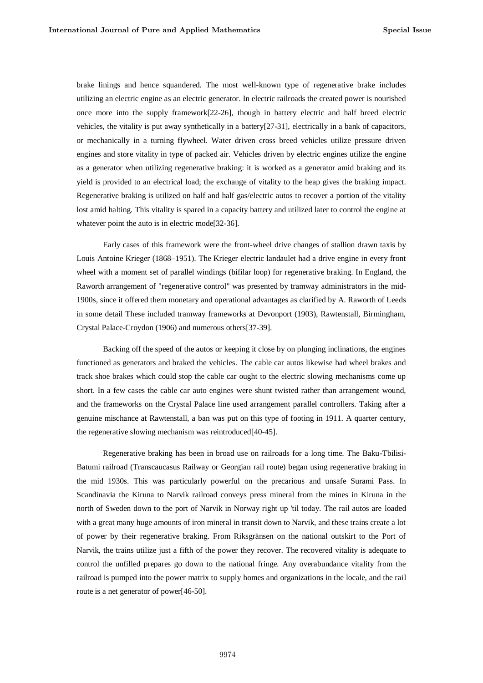brake linings and hence squandered. The most well-known type of regenerative brake includes utilizing an electric engine as an electric generator. In electric railroads the created power is nourished once more into the supply framework[22-26], though in battery electric and half breed electric vehicles, the vitality is put away synthetically in a battery[27-31], electrically in a bank of capacitors, or mechanically in a turning flywheel. Water driven cross breed vehicles utilize pressure driven engines and store vitality in type of packed air. Vehicles driven by electric engines utilize the engine as a generator when utilizing regenerative braking: it is worked as a generator amid braking and its yield is provided to an electrical load; the exchange of vitality to the heap gives the braking impact. Regenerative braking is utilized on half and half gas/electric autos to recover a portion of the vitality lost amid halting. This vitality is spared in a capacity battery and utilized later to control the engine at whatever point the auto is in electric mode[32-36].

Early cases of this framework were the front-wheel drive changes of stallion drawn taxis by Louis Antoine Krieger (1868–1951). The Krieger electric landaulet had a drive engine in every front wheel with a moment set of parallel windings (bifilar loop) for regenerative braking. In England, the Raworth arrangement of "regenerative control" was presented by tramway administrators in the mid-1900s, since it offered them monetary and operational advantages as clarified by A. Raworth of Leeds in some detail These included tramway frameworks at Devonport (1903), Rawtenstall, Birmingham, Crystal Palace-Croydon (1906) and numerous others[37-39].

Backing off the speed of the autos or keeping it close by on plunging inclinations, the engines functioned as generators and braked the vehicles. The cable car autos likewise had wheel brakes and track shoe brakes which could stop the cable car ought to the electric slowing mechanisms come up short. In a few cases the cable car auto engines were shunt twisted rather than arrangement wound, and the frameworks on the Crystal Palace line used arrangement parallel controllers. Taking after a genuine mischance at Rawtenstall, a ban was put on this type of footing in 1911. A quarter century, the regenerative slowing mechanism was reintroduced[40-45].

Regenerative braking has been in broad use on railroads for a long time. The Baku-Tbilisi-Batumi railroad (Transcaucasus Railway or Georgian rail route) began using regenerative braking in the mid 1930s. This was particularly powerful on the precarious and unsafe Surami Pass. In Scandinavia the Kiruna to Narvik railroad conveys press mineral from the mines in Kiruna in the north of Sweden down to the port of Narvik in Norway right up 'til today. The rail autos are loaded with a great many huge amounts of iron mineral in transit down to Narvik, and these trains create a lot of power by their regenerative braking. From Riksgränsen on the national outskirt to the Port of Narvik, the trains utilize just a fifth of the power they recover. The recovered vitality is adequate to control the unfilled prepares go down to the national fringe. Any overabundance vitality from the railroad is pumped into the power matrix to supply homes and organizations in the locale, and the rail route is a net generator of power[46-50].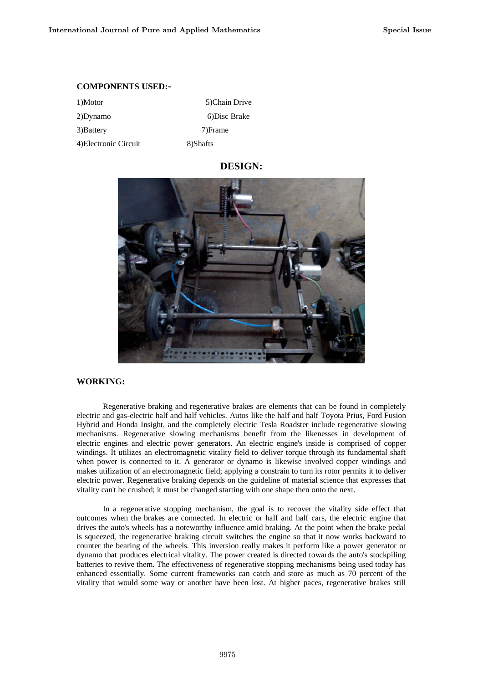### **COMPONENTS USED:-**

| 1)Motor               | 5)Chain Drive |
|-----------------------|---------------|
| 2)Dynamo              | 6) Disc Brake |
| 3) Battery            | 7)Frame       |
| 4) Electronic Circuit | 8)Shafts      |

# **DESIGN:**



# **WORKING:**

Regenerative braking and regenerative brakes are elements that can be found in completely electric and gas-electric half and half vehicles. Autos like the half and half Toyota Prius, Ford Fusion Hybrid and Honda Insight, and the completely electric Tesla Roadster include regenerative slowing mechanisms. Regenerative slowing mechanisms benefit from the likenesses in development of electric engines and electric power generators. An electric engine's inside is comprised of copper windings. It utilizes an electromagnetic vitality field to deliver torque through its fundamental shaft when power is connected to it. A generator or dynamo is likewise involved copper windings and makes utilization of an electromagnetic field; applying a constrain to turn its rotor permits it to deliver electric power. Regenerative braking depends on the guideline of material science that expresses that vitality can't be crushed; it must be changed starting with one shape then onto the next.

In a regenerative stopping mechanism, the goal is to recover the vitality side effect that outcomes when the brakes are connected. In electric or half and half cars, the electric engine that drives the auto's wheels has a noteworthy influence amid braking. At the point when the brake pedal is squeezed, the regenerative braking circuit switches the engine so that it now works backward to counter the bearing of the wheels. This inversion really makes it perform like a power generator or dynamo that produces electrical vitality. The power created is directed towards the auto's stockpiling batteries to revive them. The effectiveness of regenerative stopping mechanisms being used today has enhanced essentially. Some current frameworks can catch and store as much as 70 percent of the vitality that would some way or another have been lost. At higher paces, regenerative brakes still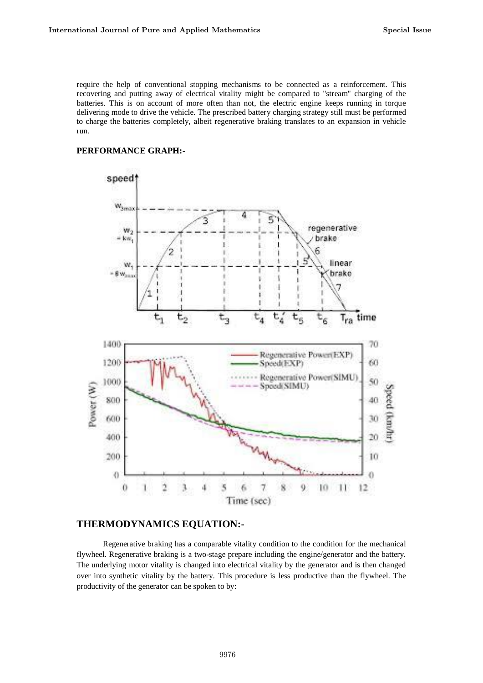require the help of conventional stopping mechanisms to be connected as a reinforcement. This recovering and putting away of electrical vitality might be compared to "stream" charging of the batteries. This is on account of more often than not, the electric engine keeps running in torque delivering mode to drive the vehicle. The prescribed battery charging strategy still must be performed to charge the batteries completely, albeit regenerative braking translates to an expansion in vehicle run.

### **PERFORMANCE GRAPH:-**



# **THERMODYNAMICS EQUATION:-**

Regenerative braking has a comparable vitality condition to the condition for the mechanical flywheel. Regenerative braking is a two-stage prepare including the engine/generator and the battery. The underlying motor vitality is changed into electrical vitality by the generator and is then changed over into synthetic vitality by the battery. This procedure is less productive than the flywheel. The productivity of the generator can be spoken to by: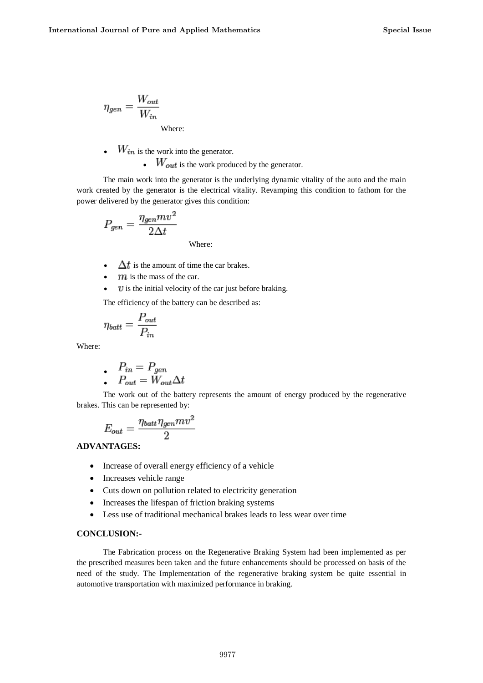$$
\eta_{gen} = \frac{W_{out}}{W_{in}}
$$
  
Where:

- $\bullet$   $W_{in}$  is the work into the generator.
	- $\bullet$   $W_{out}$  is the work produced by the generator.

The main work into the generator is the underlying dynamic vitality of the auto and the main work created by the generator is the electrical vitality. Revamping this condition to fathom for the power delivered by the generator gives this condition:

$$
P_{gen} = \frac{\eta_{gen}mv^2}{2\Delta t}
$$

- $\Delta t$  is the amount of time the car brakes.
- $m$  is the mass of the car.
- $v$  is the initial velocity of the car just before braking.

Where:

The efficiency of the battery can be described as:

$$
\eta_{batt} = \frac{P_{out}}{P_{in}}
$$

Where:

$$
\bullet \quad P_{in} = P_{gen}
$$

$$
\bullet \quad P_{out} = W_{out} \Delta t
$$

The work out of the battery represents the amount of energy produced by the regenerative brakes. This can be represented by:

$$
E_{out} = \frac{\eta_{batt}\eta_{gen}mv^2}{2}
$$

# **ADVANTAGES:**

- Increase of overall energy efficiency of a vehicle
- Increases vehicle range
- Cuts down on pollution related to electricity generation
- Increases the lifespan of friction braking systems
- Less use of traditional mechanical brakes leads to less wear over time

# **CONCLUSION:-**

The Fabrication process on the Regenerative Braking System had been implemented as per the prescribed measures been taken and the future enhancements should be processed on basis of the need of the study. The Implementation of the regenerative braking system be quite essential in automotive transportation with maximized performance in braking.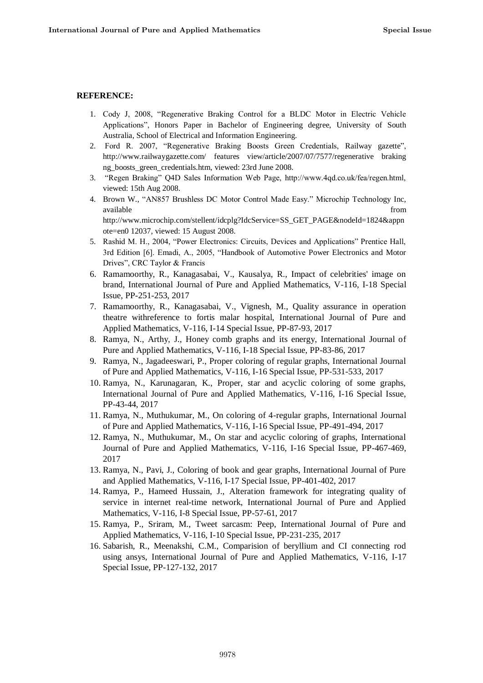### **REFERENCE:**

- 1. Cody J, 2008, "Regenerative Braking Control for a BLDC Motor in Electric Vehicle Applications", Honors Paper in Bachelor of Engineering degree, University of South Australia, School of Electrical and Information Engineering.
- 2. Ford R. 2007, "Regenerative Braking Boosts Green Credentials, Railway gazette", http://www.railwaygazette.com/ features view/article/2007/07/7577/regenerative braking ng\_boosts\_green\_credentials.htm, viewed: 23rd June 2008.
- 3. "Regen Braking" Q4D Sales Information Web Page, http://www.4qd.co.uk/fea/regen.html, viewed: 15th Aug 2008.
- 4. Brown W., "AN857 Brushless DC Motor Control Made Easy." Microchip Technology Inc, available **from** the state of the state of the state of the state of the state of the state of the state of the state of the state of the state of the state of the state of the state of the state of the state of the state http://www.microchip.com/stellent/idcplg?IdcService=SS\_GET\_PAGE&nodeId=1824&appn ote=en0 12037, viewed: 15 August 2008.
- 5. Rashid M. H., 2004, "Power Electronics: Circuits, Devices and Applications" Prentice Hall, 3rd Edition [6]. Emadi, A., 2005, "Handbook of Automotive Power Electronics and Motor Drives", CRC Taylor & Francis
- 6. Ramamoorthy, R., Kanagasabai, V., Kausalya, R., Impact of celebrities' image on brand, International Journal of Pure and Applied Mathematics, V-116, I-18 Special Issue, PP-251-253, 2017
- 7. Ramamoorthy, R., Kanagasabai, V., Vignesh, M., Quality assurance in operation theatre withreference to fortis malar hospital, International Journal of Pure and Applied Mathematics, V-116, I-14 Special Issue, PP-87-93, 2017
- 8. Ramya, N., Arthy, J., Honey comb graphs and its energy, International Journal of Pure and Applied Mathematics, V-116, I-18 Special Issue, PP-83-86, 2017
- 9. Ramya, N., Jagadeeswari, P., Proper coloring of regular graphs, International Journal of Pure and Applied Mathematics, V-116, I-16 Special Issue, PP-531-533, 2017
- 10. Ramya, N., Karunagaran, K., Proper, star and acyclic coloring of some graphs, International Journal of Pure and Applied Mathematics, V-116, I-16 Special Issue, PP-43-44, 2017
- 11. Ramya, N., Muthukumar, M., On coloring of 4-regular graphs, International Journal of Pure and Applied Mathematics, V-116, I-16 Special Issue, PP-491-494, 2017
- 12. Ramya, N., Muthukumar, M., On star and acyclic coloring of graphs, International Journal of Pure and Applied Mathematics, V-116, I-16 Special Issue, PP-467-469, 2017
- 13. Ramya, N., Pavi, J., Coloring of book and gear graphs, International Journal of Pure and Applied Mathematics, V-116, I-17 Special Issue, PP-401-402, 2017
- 14. Ramya, P., Hameed Hussain, J., Alteration framework for integrating quality of service in internet real-time network, International Journal of Pure and Applied Mathematics, V-116, I-8 Special Issue, PP-57-61, 2017
- 15. Ramya, P., Sriram, M., Tweet sarcasm: Peep, International Journal of Pure and Applied Mathematics, V-116, I-10 Special Issue, PP-231-235, 2017
- 16. Sabarish, R., Meenakshi, C.M., Comparision of beryllium and CI connecting rod using ansys, International Journal of Pure and Applied Mathematics, V-116, I-17 Special Issue, PP-127-132, 2017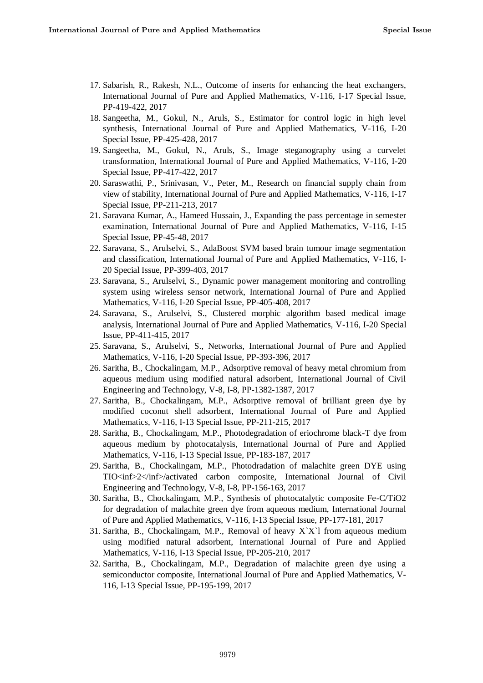- 17. Sabarish, R., Rakesh, N.L., Outcome of inserts for enhancing the heat exchangers, International Journal of Pure and Applied Mathematics, V-116, I-17 Special Issue, PP-419-422, 2017
- 18. Sangeetha, M., Gokul, N., Aruls, S., Estimator for control logic in high level synthesis, International Journal of Pure and Applied Mathematics, V-116, I-20 Special Issue, PP-425-428, 2017
- 19. Sangeetha, M., Gokul, N., Aruls, S., Image steganography using a curvelet transformation, International Journal of Pure and Applied Mathematics, V-116, I-20 Special Issue, PP-417-422, 2017
- 20. Saraswathi, P., Srinivasan, V., Peter, M., Research on financial supply chain from view of stability, International Journal of Pure and Applied Mathematics, V-116, I-17 Special Issue, PP-211-213, 2017
- 21. Saravana Kumar, A., Hameed Hussain, J., Expanding the pass percentage in semester examination, International Journal of Pure and Applied Mathematics, V-116, I-15 Special Issue, PP-45-48, 2017
- 22. Saravana, S., Arulselvi, S., AdaBoost SVM based brain tumour image segmentation and classification, International Journal of Pure and Applied Mathematics, V-116, I-20 Special Issue, PP-399-403, 2017
- 23. Saravana, S., Arulselvi, S., Dynamic power management monitoring and controlling system using wireless sensor network, International Journal of Pure and Applied Mathematics, V-116, I-20 Special Issue, PP-405-408, 2017
- 24. Saravana, S., Arulselvi, S., Clustered morphic algorithm based medical image analysis, International Journal of Pure and Applied Mathematics, V-116, I-20 Special Issue, PP-411-415, 2017
- 25. Saravana, S., Arulselvi, S., Networks, International Journal of Pure and Applied Mathematics, V-116, I-20 Special Issue, PP-393-396, 2017
- 26. Saritha, B., Chockalingam, M.P., Adsorptive removal of heavy metal chromium from aqueous medium using modified natural adsorbent, International Journal of Civil Engineering and Technology, V-8, I-8, PP-1382-1387, 2017
- 27. Saritha, B., Chockalingam, M.P., Adsorptive removal of brilliant green dye by modified coconut shell adsorbent, International Journal of Pure and Applied Mathematics, V-116, I-13 Special Issue, PP-211-215, 2017
- 28. Saritha, B., Chockalingam, M.P., Photodegradation of eriochrome black-T dye from aqueous medium by photocatalysis, International Journal of Pure and Applied Mathematics, V-116, I-13 Special Issue, PP-183-187, 2017
- 29. Saritha, B., Chockalingam, M.P., Photodradation of malachite green DYE using TIO<inf>2</inf>/activated carbon composite, International Journal of Civil Engineering and Technology, V-8, I-8, PP-156-163, 2017
- 30. Saritha, B., Chockalingam, M.P., Synthesis of photocatalytic composite Fe-C/TiO2 for degradation of malachite green dye from aqueous medium, International Journal of Pure and Applied Mathematics, V-116, I-13 Special Issue, PP-177-181, 2017
- 31. Saritha, B., Chockalingam, M.P., Removal of heavy X`X`l from aqueous medium using modified natural adsorbent, International Journal of Pure and Applied Mathematics, V-116, I-13 Special Issue, PP-205-210, 2017
- 32. Saritha, B., Chockalingam, M.P., Degradation of malachite green dye using a semiconductor composite, International Journal of Pure and Applied Mathematics, V-116, I-13 Special Issue, PP-195-199, 2017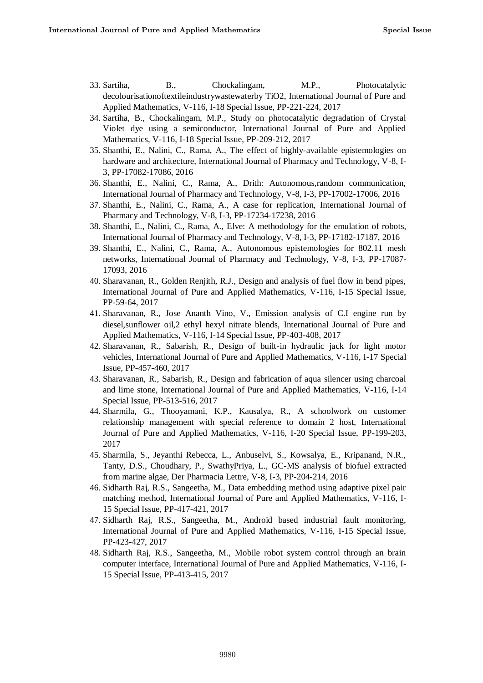- 33. Sartiha, B., Chockalingam, M.P., Photocatalytic decolourisationoftextileindustrywastewaterby TiO2, International Journal of Pure and Applied Mathematics, V-116, I-18 Special Issue, PP-221-224, 2017
- 34. Sartiha, B., Chockalingam, M.P., Study on photocatalytic degradation of Crystal Violet dye using a semiconductor, International Journal of Pure and Applied Mathematics, V-116, I-18 Special Issue, PP-209-212, 2017
- 35. Shanthi, E., Nalini, C., Rama, A., The effect of highly-available epistemologies on hardware and architecture, International Journal of Pharmacy and Technology, V-8, I-3, PP-17082-17086, 2016
- 36. Shanthi, E., Nalini, C., Rama, A., Drith: Autonomous,random communication, International Journal of Pharmacy and Technology, V-8, I-3, PP-17002-17006, 2016
- 37. Shanthi, E., Nalini, C., Rama, A., A case for replication, International Journal of Pharmacy and Technology, V-8, I-3, PP-17234-17238, 2016
- 38. Shanthi, E., Nalini, C., Rama, A., Elve: A methodology for the emulation of robots, International Journal of Pharmacy and Technology, V-8, I-3, PP-17182-17187, 2016
- 39. Shanthi, E., Nalini, C., Rama, A., Autonomous epistemologies for 802.11 mesh networks, International Journal of Pharmacy and Technology, V-8, I-3, PP-17087- 17093, 2016
- 40. Sharavanan, R., Golden Renjith, R.J., Design and analysis of fuel flow in bend pipes, International Journal of Pure and Applied Mathematics, V-116, I-15 Special Issue, PP-59-64, 2017
- 41. Sharavanan, R., Jose Ananth Vino, V., Emission analysis of C.I engine run by diesel,sunflower oil,2 ethyl hexyl nitrate blends, International Journal of Pure and Applied Mathematics, V-116, I-14 Special Issue, PP-403-408, 2017
- 42. Sharavanan, R., Sabarish, R., Design of built-in hydraulic jack for light motor vehicles, International Journal of Pure and Applied Mathematics, V-116, I-17 Special Issue, PP-457-460, 2017
- 43. Sharavanan, R., Sabarish, R., Design and fabrication of aqua silencer using charcoal and lime stone, International Journal of Pure and Applied Mathematics, V-116, I-14 Special Issue, PP-513-516, 2017
- 44. Sharmila, G., Thooyamani, K.P., Kausalya, R., A schoolwork on customer relationship management with special reference to domain 2 host, International Journal of Pure and Applied Mathematics, V-116, I-20 Special Issue, PP-199-203, 2017
- 45. Sharmila, S., Jeyanthi Rebecca, L., Anbuselvi, S., Kowsalya, E., Kripanand, N.R., Tanty, D.S., Choudhary, P., SwathyPriya, L., GC-MS analysis of biofuel extracted from marine algae, Der Pharmacia Lettre, V-8, I-3, PP-204-214, 2016
- 46. Sidharth Raj, R.S., Sangeetha, M., Data embedding method using adaptive pixel pair matching method, International Journal of Pure and Applied Mathematics, V-116, I-15 Special Issue, PP-417-421, 2017
- 47. Sidharth Raj, R.S., Sangeetha, M., Android based industrial fault monitoring, International Journal of Pure and Applied Mathematics, V-116, I-15 Special Issue, PP-423-427, 2017
- 48. Sidharth Raj, R.S., Sangeetha, M., Mobile robot system control through an brain computer interface, International Journal of Pure and Applied Mathematics, V-116, I-15 Special Issue, PP-413-415, 2017